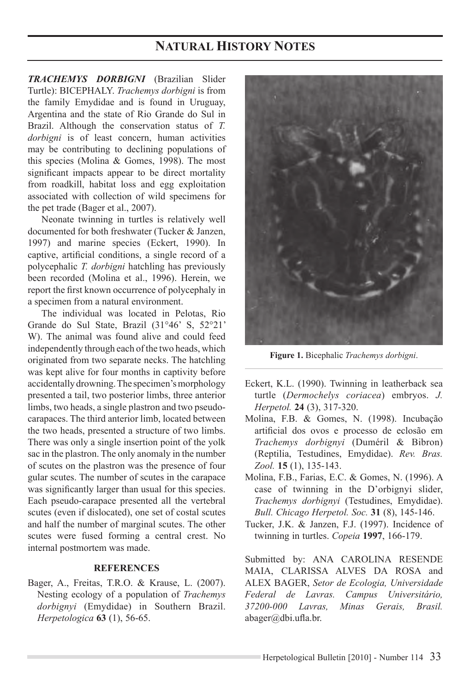# **NATURAL HISTORY NOTES**

*TRACHEMYS DORBIGNI* (Brazilian Slider Turtle): BICEPHALY. *Trachemys dorbigni* is from the family Emydidae and is found in Uruguay, Argentina and the state of Rio Grande do Sul in Brazil. Although the conservation status of *T. dorbigni* is of least concern, human activities may be contributing to declining populations of this species (Molina & Gomes, 1998). The most significant impacts appear to be direct mortality from roadkill, habitat loss and egg exploitation associated with collection of wild specimens for the pet trade (Bager et al., 2007).

Neonate twinning in turtles is relatively well documented for both freshwater (Tucker & Janzen, 1997) and marine species (Eckert, 1990). In captive, artificial conditions, a single record of a polycephalic *T. dorbigni* hatchling has previously been recorded (Molina et al., 1996). Herein, we report the first known occurrence of polycephaly in a specimen from a natural environment.

The individual was located in Pelotas, Rio Grande do Sul State, Brazil (31°46' S, 52°21' W). The animal was found alive and could feed independently through each of the two heads, which originated from two separate necks. The hatchling was kept alive for four months in captivity before accidentally drowning. The specimen's morphology presented a tail, two posterior limbs, three anterior limbs, two heads, a single plastron and two pseudocarapaces. The third anterior limb, located between the two heads, presented a structure of two limbs. There was only a single insertion point of the yolk sac in the plastron. The only anomaly in the number of scutes on the plastron was the presence of four gular scutes. The number of scutes in the carapace was significantly larger than usual for this species. Each pseudo-carapace presented all the vertebral scutes (even if dislocated), one set of costal scutes and half the number of marginal scutes. The other scutes were fused forming a central crest. No internal postmortem was made.

### **REFERENCES**

Bager, A., Freitas, T.R.O. & Krause, L. (2007). Nesting ecology of a population of *Trachemys dorbignyi* (Emydidae) in Southern Brazil. *Herpetologica* **63** (1), 56-65.



**Figure 1.** Bicephalic *Trachemys dorbigni*.

- Eckert, K.L. (1990). Twinning in leatherback sea turtle (*Dermochelys coriacea*) embryos. *J. Herpetol.* **24** (3), 317-320.
- Molina, F.B. & Gomes, N. (1998). Incubação artificial dos ovos e processo de eclosão em *Trachemys dorbignyi* (Duméril & Bibron) (Reptilia, Testudines, Emydidae). *Rev. Bras. Zool.* **15** (1), 135-143.
- Molina, F.B., Farias, E.C. & Gomes, N. (1996). A case of twinning in the D'orbignyi slider, *Trachemys dorbignyi* (Testudines, Emydidae). *Bull. Chicago Herpetol. Soc.* **31** (8), 145-146.
- Tucker, J.K. & Janzen, F.J. (1997). Incidence of twinning in turtles. *Copeia* **1997**, 166-179.

Submitted by: ANA CAROLINA RESENDE Maia, Clarissa Alves da Rosa and ALEX BAGER, *Setor de Ecologia, Universidade Federal de Lavras. Campus Universitário, 37200-000 Lavras, Minas Gerais, Brasil.* abager@dbi.ufla.br.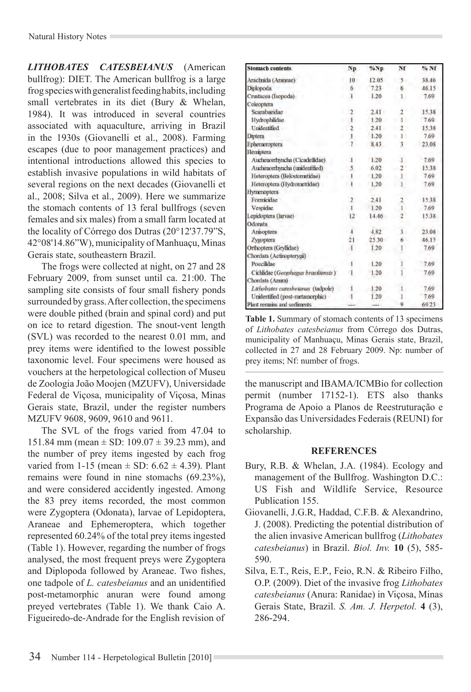*LITHOBATES CATESBEIANUS* (American bullfrog): DIET. The American bullfrog is a large frog species with generalist feeding habits, including small vertebrates in its diet (Bury & Whelan, 1984). It was introduced in several countries associated with aquaculture, arriving in Brazil in the 1930s (Giovanelli et al., 2008). Farming escapes (due to poor management practices) and intentional introductions allowed this species to establish invasive populations in wild habitats of several regions on the next decades (Giovanelli et al., 2008; Silva et al., 2009). Here we summarize the stomach contents of 13 feral bullfrogs (seven females and six males) from a small farm located at the locality of Córrego dos Dutras (20°12'37.79"S, 42°08'14.86"W), municipality of Manhuaçu, Minas Gerais state, southeastern Brazil.

The frogs were collected at night, on 27 and 28 February 2009, from sunset until ca. 21:00. The sampling site consists of four small fishery ponds surrounded by grass. After collection, the specimens were double pithed (brain and spinal cord) and put on ice to retard digestion. The snout-vent length (SVL) was recorded to the nearest 0.01 mm, and prey items were identified to the lowest possible taxonomic level. Four specimens were housed as vouchers at the herpetological collection of Museu de Zoologia João Moojen (MZUFV), Universidade Federal de Viçosa, municipality of Viçosa, Minas Gerais state, Brazil, under the register numbers MZUFV 9608, 9609, 9610 and 9611.

The SVL of the frogs varied from 47.04 to 151.84 mm (mean  $\pm$  SD: 109.07  $\pm$  39.23 mm), and the number of prey items ingested by each frog varied from  $1-15$  (mean  $\pm$  SD:  $6.62 \pm 4.39$ ). Plant remains were found in nine stomachs (69.23%), and were considered accidently ingested. Among the 83 prey items recorded, the most common were Zygoptera (Odonata), larvae of Lepidoptera, Araneae and Ephemeroptera, which together represented 60.24% of the total prey items ingested (Table 1). However, regarding the number of frogs analysed, the most frequent preys were Zygoptera and Diplopoda followed by Araneae. Two fishes, one tadpole of *L. catesbeianus* and an unidentified post-metamorphic anuran were found among preyed vertebrates (Table 1). We thank Caio A. Figueiredo-de-Andrade for the English revision of

| <b>Stomach contents</b>            | Np              | %Np       | Nf             | % Nf  |
|------------------------------------|-----------------|-----------|----------------|-------|
| Arachnida (Araneae)                | 10 <sup>1</sup> | 12.05     | 5.             | 38.46 |
| Diplopoda                          | ĥ               | 7.23      | 6.             | 46.15 |
| Crustacea (Isopoda)                | ī               | 1.20      | L              | 7.69  |
| Coleoptera                         |                 |           |                |       |
| Scarabaeidae                       |                 | 2.41      |                | 15.38 |
| Hydrophilidae                      |                 | 120       |                | 7.69  |
| <b>Unidentified</b>                |                 | 2.41      |                | 15.38 |
| Diptera                            |                 | 1.20      |                | 7.69  |
| Ephemeroptera                      |                 | 8.43      | 3              | 23.08 |
| Hemiptera                          |                 |           |                |       |
| Auchenorrhyncha (Cicadellidae)     |                 | 1.20      | ı              | 7.69  |
| Auchenorrhyncha (unidentified)     |                 | 6.02      |                | 15.38 |
| Heteroptera (Belostomatidae)       |                 | 1.20      | 1              | 7.69  |
| Heteroptera (Hydrometridae)        |                 | 1.20      |                | 7.69  |
| Hymenoptera                        |                 |           |                |       |
| Formicidae                         | 2               | 2.41      |                | 15.38 |
| Vespidae                           |                 | 1.20      |                | 7.69  |
| Lepidoptera (larvae)               | 12              | 14.46     | 7              | 15.38 |
| Odonata                            |                 |           |                |       |
| Anisoptera                         |                 | 4.82      | 3.             | 23.08 |
| Zygoptera                          |                 | $25.30 -$ | 6.             | 46.15 |
| Orthoptera (Gryllidae)             |                 | 1.20      |                | 7.69  |
| Chordata (Actinopterygii)          |                 |           |                |       |
| Poecilidae                         | ۱               | 1.20      |                | 7.69  |
| Cichlidae (Geophagus brasiliensis) | π               | 1.20      |                | 7.69  |
| Chordata (Anura)                   |                 |           |                |       |
| Lithobates catesbetanus (tadpole)  |                 | 1.20      |                | 7.69  |
| Unidentified (post-metamorphic)    |                 | 1.20      |                | 7.69  |
| Plant remains and sediments        |                 | $-11$     | $\overline{0}$ | 69.23 |

**Table 1.** Summary of stomach contents of 13 specimens of *Lithobates catesbeianus* from Córrego dos Dutras, municipality of Manhuaçu, Minas Gerais state, Brazil, collected in 27 and 28 February 2009. Np: number of prey items; Nf: number of frogs.

the manuscript and IBAMA/ICMBio for collection permit (number 17152-1). ETS also thanks Programa de Apoio a Planos de Reestruturação e Expansão das Universidades Federais (REUNI) for scholarship.

## **REFERENCES**

- Bury, R.B. & Whelan, J.A. (1984). Ecology and management of the Bullfrog. Washington D.C.: US Fish and Wildlife Service, Resource Publication 155.
- Giovanelli, J.G.R, Haddad, C.F.B. & Alexandrino, J. (2008). Predicting the potential distribution of the alien invasive American bullfrog (*Lithobates catesbeianus*) in Brazil. *Biol. Inv.* **10** (5), 585- 590.
- Silva, E.T., Reis, E.P., Feio, R.N. & Ribeiro Filho, O.P. (2009). Diet of the invasive frog *Lithobates catesbeianus* (Anura: Ranidae) in Viçosa, Minas Gerais State, Brazil. *S. Am. J. Herpetol.* **4** (3), 286-294.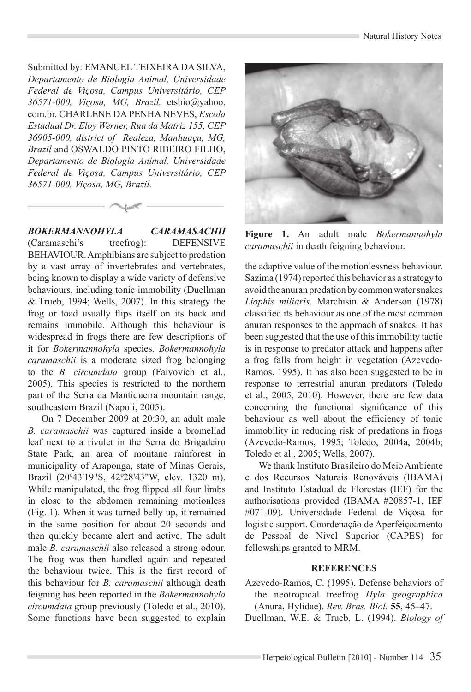Submitted by: EMANUEL TEIXEIRA DA SILVA, *Departamento de Biologia Animal, Universidade Federal de Viçosa, Campus Universitário, CEP 36571-000, Viçosa, MG, Brazil.* etsbio@yahoo. com.br. CHARLENE DA PENHA NEVES, *Escola Estadual Dr. Eloy Werner, Rua da Matriz 155, CEP 36905-000, district of Realeza, Manhuaçu, MG, Brazil* and OSWALDO PINTO RIBEIRO FILHO, *Departamento de Biologia Animal, Universidade Federal de Viçosa, Campus Universitário, CEP 36571-000, Viçosa, MG, Brazil.* 

*BOKERMANNOHYLA CARAMASACHII*  (Caramaschi's treefrog): DEFENSIVE BEHAVIOUR. Amphibians are subject to predation by a vast array of invertebrates and vertebrates, being known to display a wide variety of defensive behaviours, including tonic immobility (Duellman & Trueb, 1994; Wells, 2007). In this strategy the frog or toad usually flips itself on its back and remains immobile. Although this behaviour is widespread in frogs there are few descriptions of it for *Bokermannohyla* species. *Bokermannohyla caramaschii* is a moderate sized frog belonging to the *B. circumdata* group (Faivovich et al., 2005). This species is restricted to the northern part of the Serra da Mantiqueira mountain range, southeastern Brazil (Napoli, 2005).

On 7 December 2009 at 20:30, an adult male *B. caramaschii* was captured inside a bromeliad leaf next to a rivulet in the Serra do Brigadeiro State Park, an area of montane rainforest in municipality of Araponga, state of Minas Gerais, Brazil (20º43'19"S, 42º28'43"W, elev. 1320 m). While manipulated, the frog flipped all four limbs in close to the abdomen remaining motionless (Fig. 1). When it was turned belly up, it remained in the same position for about 20 seconds and then quickly became alert and active. The adult male *B. caramaschii* also released a strong odour. The frog was then handled again and repeated the behaviour twice. This is the first record of this behaviour for *B. caramaschii* although death feigning has been reported in the *Bokermannohyla circumdata* group previously (Toledo et al., 2010). Some functions have been suggested to explain



**Figure 1.** An adult male *Bokermannohyla caramaschii* in death feigning behaviour.

the adaptive value of the motionlessness behaviour. Sazima (1974) reported this behavior as a strategy to avoid the anuran predation by common water snakes *Liophis miliaris*. Marchisin & Anderson (1978) classified its behaviour as one of the most common anuran responses to the approach of snakes. It has been suggested that the use of this immobility tactic is in response to predator attack and happens after a frog falls from height in vegetation (Azevedo-Ramos, 1995). It has also been suggested to be in response to terrestrial anuran predators (Toledo et al., 2005, 2010). However, there are few data concerning the functional significance of this behaviour as well about the efficiency of tonic immobility in reducing risk of predations in frogs (Azevedo-Ramos, 1995; Toledo, 2004a, 2004b; Toledo et al., 2005; Wells, 2007).

We thank Instituto Brasileiro do Meio Ambiente e dos Recursos Naturais Renováveis (IBAMA) and Instituto Estadual de Florestas (IEF) for the authorisations provided (IBAMA #20857-1, IEF #071-09). Universidade Federal de Viçosa for logistic support. Coordenação de Aperfeiçoamento de Pessoal de Nível Superior (CAPES) for fellowships granted to MRM.

#### **REFERENCES**

- Azevedo-Ramos, C. (1995). Defense behaviors of the neotropical treefrog *Hyla geographica* (Anura, Hylidae). *Rev. Bras. Biol.* **55**, 45–47.
- Duellman, W.E. & Trueb, L. (1994). *Biology of*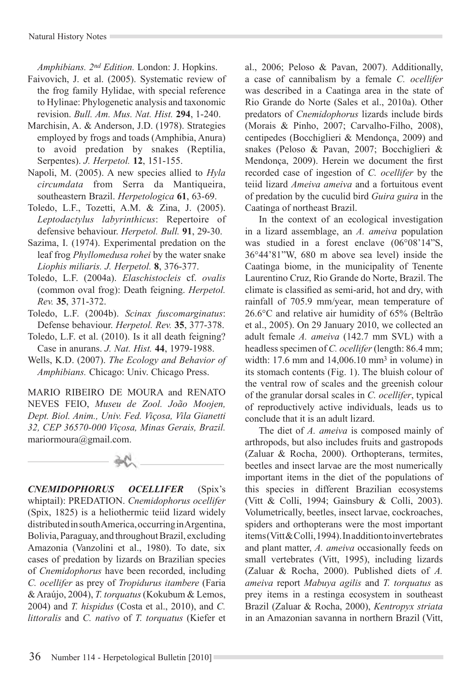*Amphibians. 2nd Edition.* London: J. Hopkins.

- Faivovich, J. et al. (2005). Systematic review of the frog family Hylidae, with special reference to Hylinae: Phylogenetic analysis and taxonomic revision. *Bull. Am. Mus. Nat. Hist.* **294**, 1-240.
- Marchisin, A. & Anderson, J.D. (1978). Strategies employed by frogs and toads (Amphibia, Anura) to avoid predation by snakes (Reptilia, Serpentes). *J. Herpetol.* **12**, 151-155.
- Napoli, M. (2005). A new species allied to *Hyla circumdata* from Serra da Mantiqueira, southeastern Brazil. *Herpetologica* **61**, 63-69.
- Toledo, L.F., Tozetti, A.M. & Zina, J. (2005). *Leptodactylus labyrinthicus*: Repertoire of defensive behaviour. *Herpetol. Bull.* **91**, 29-30.
- Sazima, I. (1974). Experimental predation on the leaf frog *Phyllomedusa rohei* by the water snake *Liophis miliaris. J. Herpetol.* **8**, 376-377.
- Toledo, L.F. (2004a). *Elaschistocleis* cf. *ovalis*  (common oval frog): Death feigning. *Herpetol. Rev.* **35**, 371-372.
- Toledo, L.F. (2004b). *Scinax fuscomarginatus*: Defense behaviour. *Herpetol. Rev.* **35**, 377-378.
- Toledo, L.F. et al. (2010). Is it all death feigning? Case in anurans. *J. Nat. Hist.* **44**, 1979-1988.
- Wells, K.D. (2007). *The Ecology and Behavior of Amphibians.* Chicago: Univ. Chicago Press.

MARIO RIBEIRO DE MOURA and RENATO NEVES FEIO, *Museu de Zool. João Moojen, Dept. Biol. Anim., Univ. Fed. Viçosa, Vila Gianetti 32, CEP 36570-000 Viçosa, Minas Gerais, Brazil.*  mariormoura@gmail.com.



*CNEMIDOPHORUS OCELLIFER* (Spix's whiptail): PREDATION. *Cnemidophorus ocellifer*  (Spix, 1825) is a heliothermic teiid lizard widely distributed in south America, occurring in Argentina, Bolivia, Paraguay, and throughout Brazil, excluding Amazonia (Vanzolini et al., 1980). To date, six cases of predation by lizards on Brazilian species of *Cnemidophorus* have been recorded, including *C. ocellifer* as prey of *Tropidurus itambere* (Faria & Araújo, 2004), *T. torquatus* (Kokubum & Lemos, 2004) and *T. hispidus* (Costa et al., 2010), and *C. littoralis* and *C. nativo* of *T. torquatus* (Kiefer et al., 2006; Peloso & Pavan, 2007). Additionally, a case of cannibalism by a female *C. ocellifer*  was described in a Caatinga area in the state of Rio Grande do Norte (Sales et al., 2010a). Other predators of *Cnemidophorus* lizards include birds (Morais & Pinho, 2007; Carvalho-Filho, 2008), centipedes (Bocchiglieri & Mendonça, 2009) and snakes (Peloso & Pavan, 2007; Bocchiglieri & Mendonça, 2009). Herein we document the first recorded case of ingestion of *C. ocellifer* by the teiid lizard *Ameiva ameiva* and a fortuitous event of predation by the cuculid bird *Guira guira* in the Caatinga of northeast Brazil.

In the context of an ecological investigation in a lizard assemblage, an *A. ameiva* population was studied in a forest enclave (06°08'14"S, 36°44'81"W, 680 m above sea level) inside the Caatinga biome, in the municipality of Tenente Laurentino Cruz, Rio Grande do Norte, Brazil. The climate is classified as semi-arid, hot and dry, with rainfall of 705.9 mm/year, mean temperature of 26.6°C and relative air humidity of 65% (Beltrão et al., 2005). On 29 January 2010, we collected an adult female *A. ameiva* (142.7 mm SVL) with a headless specimen of *C. ocellifer* (length: 86.4 mm; width: 17.6 mm and 14,006.10 mm<sup>3</sup> in volume) in its stomach contents (Fig. 1). The bluish colour of the ventral row of scales and the greenish colour of the granular dorsal scales in *C. ocellifer*, typical of reproductively active individuals, leads us to conclude that it is an adult lizard.

The diet of *A. ameiva* is composed mainly of arthropods, but also includes fruits and gastropods (Zaluar & Rocha, 2000). Orthopterans, termites, beetles and insect larvae are the most numerically important items in the diet of the populations of this species in different Brazilian ecosystems (Vitt & Colli, 1994; Gainsbury & Colli, 2003). Volumetrically, beetles, insect larvae, cockroaches, spiders and orthopterans were the most important items (Vitt & Colli, 1994). In addition to invertebrates and plant matter, *A. ameiva* occasionally feeds on small vertebrates (Vitt, 1995), including lizards (Zaluar & Rocha, 2000). Published diets of *A. ameiva* report *Mabuya agilis* and *T. torquatus* as prey items in a restinga ecosystem in southeast Brazil (Zaluar & Rocha, 2000), *Kentropyx striata*  in an Amazonian savanna in northern Brazil (Vitt,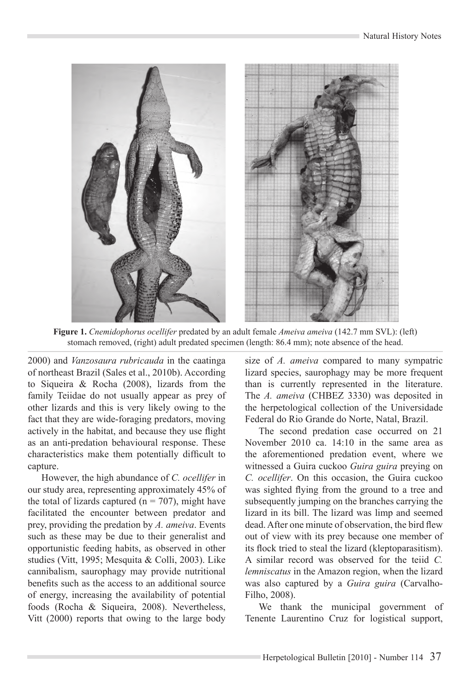

**Figure 1.** *Cnemidophorus ocellifer* predated by an adult female *Ameiva ameiva* (142.7 mm SVL): (left) stomach removed, (right) adult predated specimen (length: 86.4 mm); note absence of the head.

2000) and *Vanzosaura rubricauda* in the caatinga of northeast Brazil (Sales et al., 2010b). According to Siqueira & Rocha (2008), lizards from the family Teiidae do not usually appear as prey of other lizards and this is very likely owing to the fact that they are wide-foraging predators, moving actively in the habitat, and because they use flight as an anti-predation behavioural response. These characteristics make them potentially difficult to capture.

However, the high abundance of *C. ocellifer* in our study area, representing approximately 45% of the total of lizards captured ( $n = 707$ ), might have facilitated the encounter between predator and prey, providing the predation by *A. ameiva*. Events such as these may be due to their generalist and opportunistic feeding habits, as observed in other studies (Vitt, 1995; Mesquita & Colli, 2003). Like cannibalism, saurophagy may provide nutritional benefits such as the access to an additional source of energy, increasing the availability of potential foods (Rocha & Siqueira, 2008). Nevertheless, Vitt (2000) reports that owing to the large body

size of *A. ameiva* compared to many sympatric lizard species, saurophagy may be more frequent than is currently represented in the literature. The *A. ameiva* (CHBEZ 3330) was deposited in the herpetological collection of the Universidade Federal do Rio Grande do Norte, Natal, Brazil.

The second predation case occurred on 21 November 2010 ca. 14:10 in the same area as the aforementioned predation event, where we witnessed a Guira cuckoo *Guira guira* preying on *C. ocellifer*. On this occasion, the Guira cuckoo was sighted flying from the ground to a tree and subsequently jumping on the branches carrying the lizard in its bill. The lizard was limp and seemed dead. After one minute of observation, the bird flew out of view with its prey because one member of its flock tried to steal the lizard (kleptoparasitism). A similar record was observed for the teiid *C. lemniscatus* in the Amazon region, when the lizard was also captured by a *Guira guira* (Carvalho-Filho, 2008).

We thank the municipal government of Tenente Laurentino Cruz for logistical support,